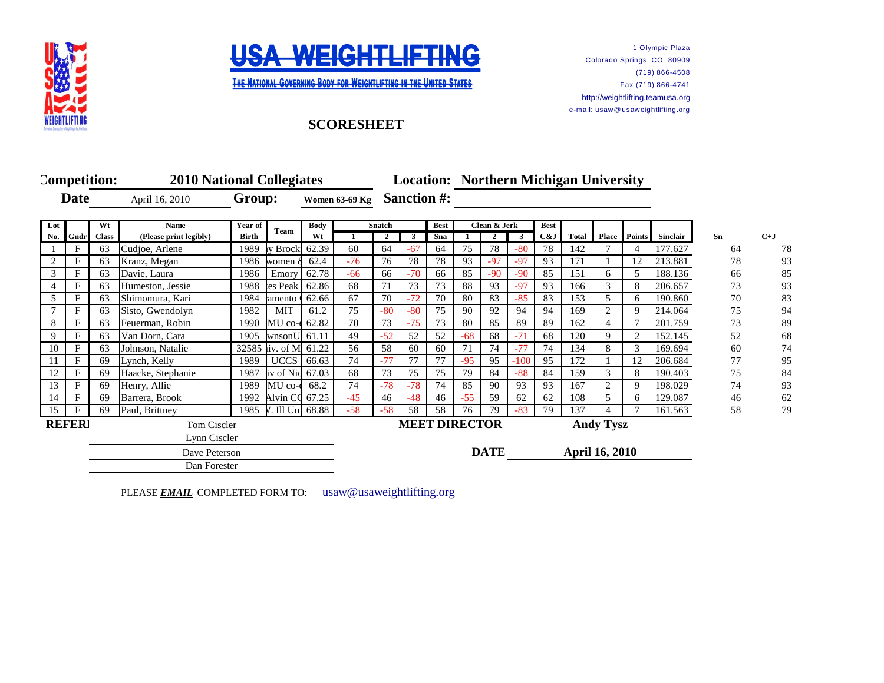



THE NATIONAL GOVERNING BODY FOR WEIGHTLIFTING IN THE UNITED STATES

## **SCORESHEET**

**Competition: 2010 National Collegiates Date Group: Women 63-69 Kg Sanction #: Lot Wt Name Year of Body Best Clean & Jerk Best** No. Gndr | Class | (Please print legibly) | Birth | Comm | Wt | 1 | 2 | 3 | Sna | 1 | 2 | 3 | C&J | Total | Place | Points | Sinclair | Sn | C+J 1 | F | 63 |Cudjoe, Arlene | 1989 |y Brock | 62.39 | 60 | 64 | -67 | 64 | 75 | 78 | -80 | 78 | 142 | 7 | 4 | 177.627 | 64 | 78 2 | F | 63 | Kranz, Megan | 1986 | Women & 62.4 | -76 | 76 | 78 | 78 | 93 | -97 | -97 | 93 | 171 | 1 | 12 | 213.881 | 78 | 93 3 F 63 Davie, Laura 1986 Emory 62.78 -66 66 -70 66 85 -90 -90 85 151 6 5 188.136 66 85 4 F 63 Humeston, Jessie 1988 es Peak 62.86 68 71 73 73 88 93 -97 93 166 3 8 206.657 73 93 5 | F | 63 | Shimomura, Kari | 1984 | amento | 62.66 | 67 | 70 | -72 | 70 | 80 | 83 | -85 | 83 | 153 | 5 | 6 | 190.860 | 70 | 83 7 | F | 63 |Sisto, Gwendolyn | 1982 | MIT | 61.2 | 75 | -80 | -80 | 75 | 90 | 92 | 94 | 94 | 169 | 2 | 9 | 214.064 | 175 | 94 8 | F | 63 | Feuerman, Robin | 1990 | MU co-e 62.82 | 70 | 73 | -75 | 73 | 80 | 85 | 89 | 89 | 162 | 4 | 7 | 201.759 | 73 | 89 9 | F | 63 | Van Dorn, Cara | 1905 | WnsonU| 61.11 | 49 | -52 | 52 | 52 | -68 | 68 | -71 | 68 | 120 | 9 | 2 | 152.145 | 52 68 10 | F | 63 Johnson, Natalie | 32585 | v. of M| 61.22 | 56 | 58 | 60 | 60 | 71 | 74 | -77 | 74 | 134 | 8 | 3 | 169.694 | 60 | 74 11 F 69 Lynch, Kelly 1989 UCCS 66.63 74 -77 77 77 -95 95 -100 95 172 1 12 206.684 77 95 12 F 69 Haacke, Stephanie 1987 Iv of Niq 67.03 68 73 75 75 79 84 -88 84 159 3 8 190.403 75 84 13 F 69 Henry, Allie 1989NMU co-ed68.2 74 -78 -78 74 85 90 93 93 167 2 9 198.029 74 93 14 F 69 Barrera, Brook 1992 Alvin CO 67.25 -45 46 -48 46 -55 59 62 62 108 5 6 129.087 46 62 15 | F | 69 | Paul, Brittney | 1985 | 1985 | Ill University 1988 | 58 | 58 | 58 | 76 | 79 | -83 | 79 | 137 | 4 | 7 | 161.563 | 58 | 79 **REFERI** Tom Ciscler **MEET DIRECTOR** Andy Tysz Dave Peterson **DATE April 16, 2010 2010 Location: Northern Michigan University Women 63-69 Kg** Lynn Ciscler Dan Forester Team Body Snatch<br>W<sub>t</sub> 1 2

1 Olympic Plaza

(719) 866-4508 Fax (719) 866-4741

Colorado Springs, CO 80909

[http://](http://weightlifting.teamusa.org/)weightlifting.teamusa.org e-mail: usaw@ usaweightlifting.org

PLEASE **EMAIL** COMPLETED FORM TO: usaw@usaweightlifting.org